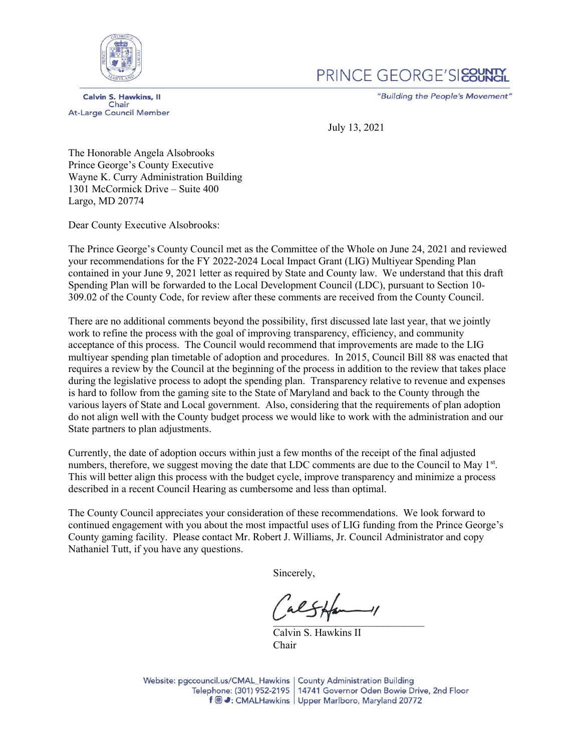

## PRINCE GEORGE'SIERUNG

**Calvin S. Hawkins, II** Chair **At-Large Council Member**  "Building the People's Movement"

July 13, 2021

The Honorable Angela Alsobrooks Prince George's County Executive Wayne K. Curry Administration Building 1301 McCormick Drive – Suite 400 Largo, MD 20774

Dear County Executive Alsobrooks:

The Prince George's County Council met as the Committee of the Whole on June 24, 2021 and reviewed your recommendations for the FY 2022-2024 Local Impact Grant (LIG) Multiyear Spending Plan contained in your June 9, 2021 letter as required by State and County law. We understand that this draft Spending Plan will be forwarded to the Local Development Council (LDC), pursuant to Section 10- 309.02 of the County Code, for review after these comments are received from the County Council.

There are no additional comments beyond the possibility, first discussed late last year, that we jointly work to refine the process with the goal of improving transparency, efficiency, and community acceptance of this process. The Council would recommend that improvements are made to the LIG multiyear spending plan timetable of adoption and procedures. In 2015, Council Bill 88 was enacted that requires a review by the Council at the beginning of the process in addition to the review that takes place during the legislative process to adopt the spending plan. Transparency relative to revenue and expenses is hard to follow from the gaming site to the State of Maryland and back to the County through the various layers of State and Local government. Also, considering that the requirements of plan adoption do not align well with the County budget process we would like to work with the administration and our State partners to plan adjustments.

Currently, the date of adoption occurs within just a few months of the receipt of the final adjusted numbers, therefore, we suggest moving the date that LDC comments are due to the Council to May 1<sup>st</sup>. This will better align this process with the budget cycle, improve transparency and minimize a process described in a recent Council Hearing as cumbersome and less than optimal.

The County Council appreciates your consideration of these recommendations. We look forward to continued engagement with you about the most impactful uses of LIG funding from the Prince George's County gaming facility. Please contact Mr. Robert J. Williams, Jr. Council Administrator and copy Nathaniel Tutt, if you have any questions.

Sincerely,

 $\cup$   $\cup$   $\cup$   $\cup$ 

Calvin S. Hawkins II Chair